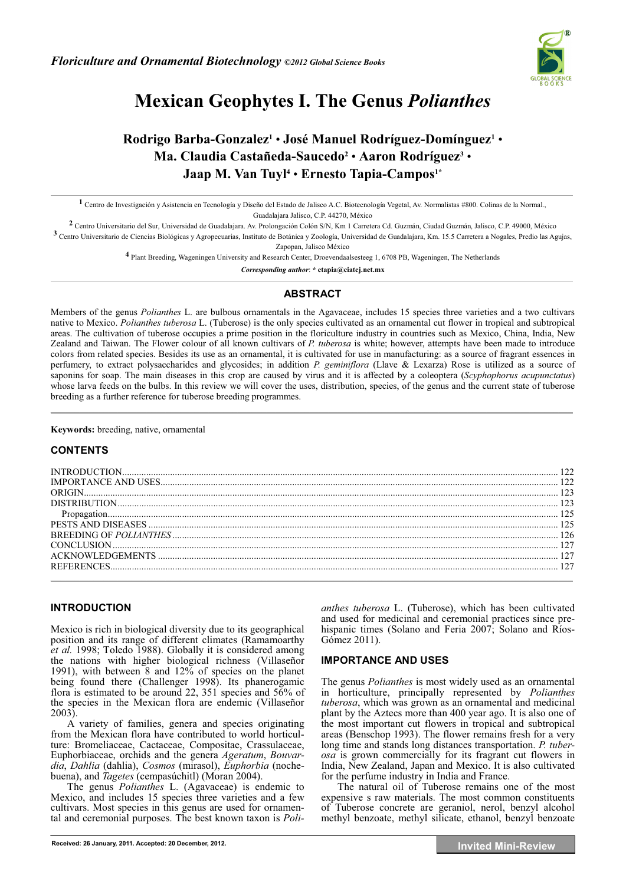

# **Mexican Geophytes I. The Genus** *Polianthes*

# **Rodrigo Barba-Gonzalez1** • **José Manuel Rodríguez-Domínguez1** • **Ma. Claudia Castañeda-Saucedo2** • **Aaron Rodríguez3** • **Jaap M. Van Tuyl4** • **Ernesto Tapia-Campos1\***

**1** Centro de Investigación y Asistencia en Tecnología y Diseño del Estado de Jalisco A.C. Biotecnología Vegetal, Av. Normalistas #800. Colinas de la Normal., Guadalajara Jalisco, C.P. 44270, México

**2** Centro Universitario del Sur, Universidad de Guadalajara. Av. Prolongación Colón S/N, Km 1 Carretera Cd. Guzmán, Ciudad Guzmán, Jalisco, C.P. 49000, México

**3** Centro Universitario de Ciencias Biológicas y Agropecuarias, Instituto de Botánica y Zoología, Universidad de Guadalajara, Km. 15.5 Carretera a Nogales, Predio las Agujas, Zapopan, Jalisco México

**4** Plant Breeding, Wageningen University and Research Center, Droevendaalsesteeg 1, 6708 PB, Wageningen, The Netherlands

*Corresponding author*: **\* etapia@ciatej.net.mx** 

#### **ABSTRACT**

Members of the genus *Polianthes* L. are bulbous ornamentals in the Agavaceae, includes 15 species three varieties and a two cultivars native to Mexico. *Polianthes tuberosa* L. (Tuberose) is the only species cultivated as an ornamental cut flower in tropical and subtropical areas. The cultivation of tuberose occupies a prime position in the floriculture industry in countries such as Mexico, China, India, New Zealand and Taiwan. The Flower colour of all known cultivars of *P. tuberosa* is white; however, attempts have been made to introduce colors from related species. Besides its use as an ornamental, it is cultivated for use in manufacturing: as a source of fragrant essences in perfumery, to extract polysaccharides and glycosides; in addition *P. geminiflora* (Llave & Lexarza) Rose is utilized as a source of saponins for soap. The main diseases in this crop are caused by virus and it is affected by a coleoptera (*Scyphophorus acupunctatus*) whose larva feeds on the bulbs. In this review we will cover the uses, distribution, species, of the genus and the current state of tuberose breeding as a further reference for tuberose breeding programmes.

 $\mathcal{L}$  , and the state of  $\mathcal{L}$  , and  $\mathcal{L}$  , and  $\mathcal{L}$  , and  $\mathcal{L}$  , and  $\mathcal{L}$  , and  $\mathcal{L}$  , and  $\mathcal{L}$  , and  $\mathcal{L}$  , and  $\mathcal{L}$  , and  $\mathcal{L}$  , and  $\mathcal{L}$  , and  $\mathcal{L}$  , and  $\mathcal{L}$  , an

**Keywords:** breeding, native, ornamental

## **CONTENTS**

# **INTRODUCTION**

Mexico is rich in biological diversity due to its geographical position and its range of different climates (Ramamoarthy *et al.* 1998; Toledo 1988). Globally it is considered among the nations with higher biological richness (Villaseñor 1991), with between 8 and 12% of species on the planet being found there (Challenger 1998). Its phanerogamic flora is estimated to be around 22, 351 species and 56% of the species in the Mexican flora are endemic (Villaseñor  $2003$ .

A variety of families, genera and species originating from the Mexican flora have contributed to world horticulture: Bromeliaceae, Cactaceae, Compositae, Crassulaceae, Euphorbiaceae, orchids and the genera *Ageratum*, *Bouvardia*, *Dahlia* (dahlia), *Cosmos* (mirasol), *Euphorbia* (nochebuena), and *Tagetes* (cempasúchitl) (Moran 2004).

The genus *Polianthes* L. (Agavaceae) is endemic to Mexico, and includes 15 species three varieties and a few cultivars. Most species in this genus are used for ornamental and ceremonial purposes. The best known taxon is *Poli-* *anthes tuberosa* L. (Tuberose), which has been cultivated and used for medicinal and ceremonial practices since prehispanic times (Solano and Feria 2007; Solano and Ríos-Gómez 2011).

## **IMPORTANCE AND USES**

The genus *Polianthes* is most widely used as an ornamental in horticulture, principally represented by *Polianthes tuberosa*, which was grown as an ornamental and medicinal plant by the Aztecs more than 400 year ago. It is also one of the most important cut flowers in tropical and subtropical areas (Benschop 1993). The flower remains fresh for a very long time and stands long distances transportation. *P. tuberosa* is grown commercially for its fragrant cut flowers in India, New Zealand, Japan and Mexico. It is also cultivated for the perfume industry in India and France.

The natural oil of Tuberose remains one of the most expensive s raw materials. The most common constituents of Tuberose concrete are geraniol, nerol, benzyl alcohol methyl benzoate, methyl silicate, ethanol, benzyl benzoate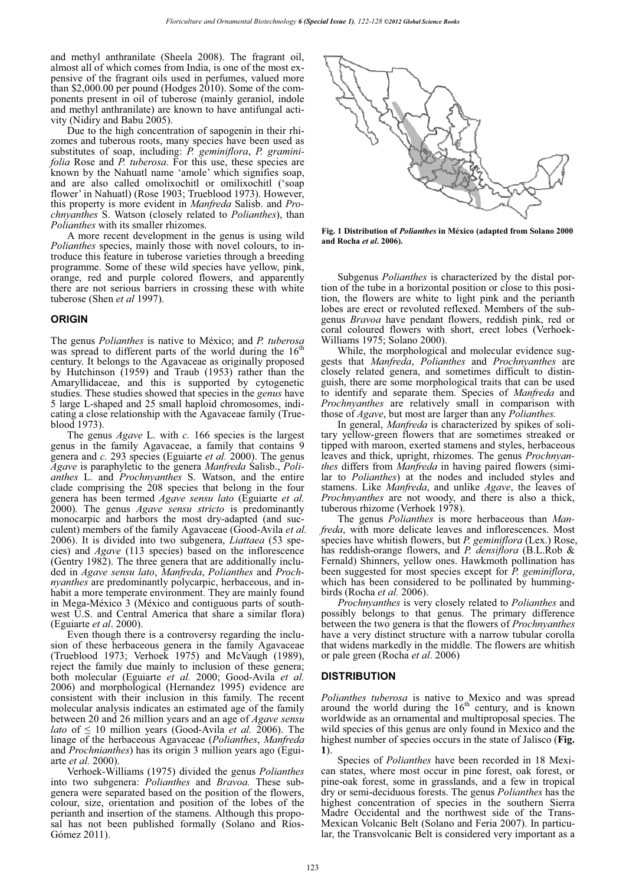and methyl anthranilate (Sheela 2008). The fragrant oil, almost all of which comes from India, is one of the most expensive of the fragrant oils used in perfumes, valued more than \$2,000.00 per pound (Hodges 2010). Some of the components present in oil of tuberose (mainly geraniol, indole and methyl anthranilate) are known to have antifungal activity (Nidiry and Babu 2005).

Due to the high concentration of sapogenin in their rhizomes and tuberous roots, many species have been used as substitutes of soap, including: *P. geminiflora*, *P. graminifolia* Rose and *P. tuberosa*. For this use, these species are known by the Nahuatl name 'amole' which signifies soap, and are also called omolixochitl or omilixochitl ('soap flower' in Nahuatl) (Rose 1903; Trueblood 1973). However, this property is more evident in *Manfreda* Salisb. and *Prochnyanthes* S. Watson (closely related to *Polianthes*), than *Polianthes* with its smaller rhizomes.

A more recent development in the genus is using wild *Polianthes* species, mainly those with novel colours, to introduce this feature in tuberose varieties through a breeding programme. Some of these wild species have yellow, pink, orange, red and purple colored flowers, and apparently there are not serious barriers in crossing these with white tuberose (Shen *et al* 1997).

#### **ORIGIN**

The genus *Polianthes* is native to México; and *P. tuberosa* was spread to different parts of the world during the  $16<sup>th</sup>$ century. It belongs to the Agavaceae as originally proposed by Hutchinson (1959) and Traub (1953) rather than the Amaryllidaceae, and this is supported by cytogenetic studies. These studies showed that species in the *genus* have 5 large L-shaped and 25 small haploid chromosomes, indicating a close relationship with the Agavaceae family (Trueblood 1973).

The genus *Agave* L. with *c.* 166 species is the largest genus in the family Agavaceae, a family that contains 9 genera and *c.* 293 species (Eguiarte *et al.* 2000). The genus *Agave* is paraphyletic to the genera *Manfreda* Salisb., *Polianthes* L. and *Prochnyanthes* S. Watson, and the entire clade comprising the 208 species that belong in the four genera has been termed *Agave sensu lato* (Eguiarte *et al.*  2000)*.* The genus *Agave sensu stricto* is predominantly monocarpic and harbors the most dry-adapted (and succulent) members of the family Agavaceae (Good-Avila *et al.* 2006). It is divided into two subgenera, *Liattaea* (53 species) and *Agave* (113 species) based on the inflorescence (Gentry 1982). The three genera that are additionally included in *Agave sensu lato*, *Manfreda*, *Polianthes* and *Prochnyanthes* are predominantly polycarpic, herbaceous, and inhabit a more temperate environment. They are mainly found in Mega-México 3 (México and contiguous parts of southwest U.S. and Central America that share a similar flora) (Eguiarte *et al*. 2000).

Even though there is a controversy regarding the inclusion of these herbaceous genera in the family Agavaceae (Trueblood 1973; Verhoek 1975) and McVaugh (1989), reject the family due mainly to inclusion of these genera; both molecular (Eguiarte *et al.* 2000; Good-Avila *et al.* 2006) and morphological (Hernandez 1995) evidence are consistent with their inclusion in this family. The recent molecular analysis indicates an estimated age of the family between 20 and 26 million years and an age of *Agave sensu lato* of  $\leq 10$  million years (Good-Avila *et al.* 2006). The linage of the herbaceous Agavaceae (*Polianthes*, *Manfreda*  and *Prochnianthes*) has its origin 3 million years ago (Eguiarte *et al.* 2000).

Verhoek-Williams (1975) divided the genus *Polianthes* into two subgenera: *Polianthes* and *Bravoa.* These subgenera were separated based on the position of the flowers, colour, size, orientation and position of the lobes of the perianth and insertion of the stamens. Although this proposal has not been published formally (Solano and Ríos-Gómez 2011).



**Fig. 1 Distribution of** *Polianthes* **in México (adapted from Solano 2000 and Rocha** *et al***. 2006).**

Subgenus *Polianthes* is characterized by the distal portion of the tube in a horizontal position or close to this position, the flowers are white to light pink and the perianth lobes are erect or revoluted reflexed. Members of the subgenus *Bravoa* have pendant flowers, reddish pink, red or coral coloured flowers with short, erect lobes (Verhoek-Williams 1975; Solano 2000).

While, the morphological and molecular evidence suggests that *Manfreda*, *Polianthes* and *Prochnyanthes* are closely related genera, and sometimes difficult to distinguish, there are some morphological traits that can be used to identify and separate them. Species of *Manfreda* and *Prochnyanthes* are relatively small in comparison with those of *Agave*, but most are larger than any *Polianthes.* 

In general, *Manfreda* is characterized by spikes of solitary yellow-green flowers that are sometimes streaked or tipped with maroon, exerted stamens and styles, herbaceous leaves and thick, upright, rhizomes. The genus *Prochnyanthes* differs from *Manfreda* in having paired flowers (similar to *Polianthes*) at the nodes and included styles and stamens. Like *Manfreda*, and unlike *Agave*, the leaves of *Prochnyanthes* are not woody, and there is also a thick, tuberous rhizome (Verhoek 1978).

The genus *Polianthes* is more herbaceous than *Manfreda*, with more delicate leaves and inflorescences. Most species have whitish flowers, but *P. geminiflora* (Lex.) Rose, has reddish-orange flowers, and *P. densiflora* (B.L.Rob & Fernald) Shinners, yellow ones. Hawkmoth pollination has been suggested for most species except for *P. geminiflora*, which has been considered to be pollinated by hummingbirds (Rocha *et al.* 2006).

*Prochnyanthes* is very closely related to *Polianthes* and possibly belongs to that genus. The primary difference between the two genera is that the flowers of *Prochnyanthes* have a very distinct structure with a narrow tubular corolla that widens markedly in the middle. The flowers are whitish or pale green (Rocha *et al*. 2006)

#### **DISTRIBUTION**

*Polianthes tuberosa* is native to Mexico and was spread around the world during the  $16<sup>th</sup>$  century, and is known worldwide as an ornamental and multiproposal species. The wild species of this genus are only found in Mexico and the highest number of species occurs in the state of Jalisco (**Fig. 1**).

Species of *Polianthes* have been recorded in 18 Mexican states, where most occur in pine forest, oak forest, or pine-oak forest, some in grasslands, and a few in tropical dry or semi-deciduous forests. The genus *Polianthes* has the highest concentration of species in the southern Sierra Madre Occidental and the northwest side of the Trans-Mexican Volcanic Belt (Solano and Feria 2007). In particular, the Transvolcanic Belt is considered very important as a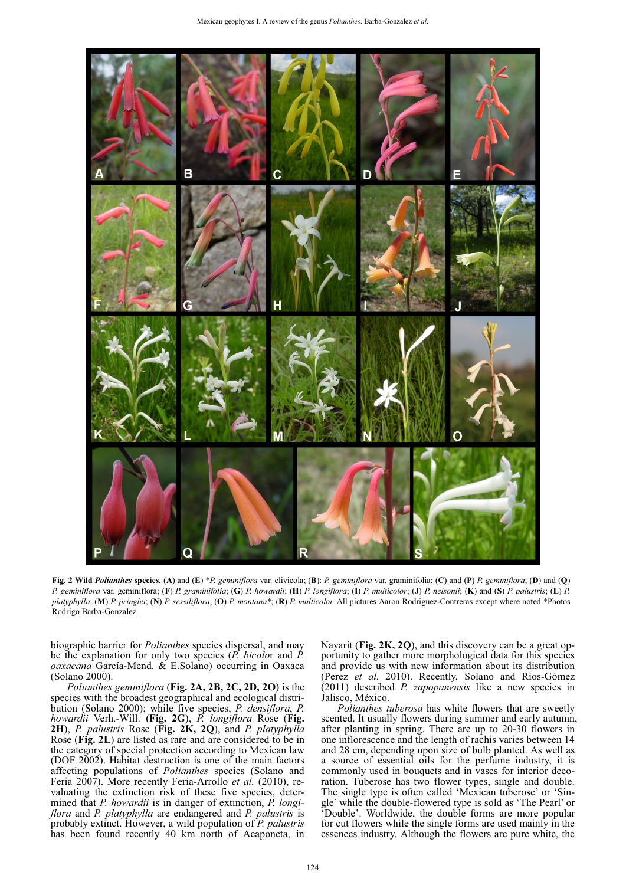

Fig. 2 Wild Polianthes species. (A) and (E) \*P. geminiflora var. clivicola; (B): P. geminiflora var. graminifolia; (C) and (P) P. geminiflora; (D) and (Q) P. geminiflora var. geminiflora; (F) P. graminifolia; (G) P. howardii; (H) P. longiflora; (I) P. multicolor; (J) P. nelsonii; (K) and (S) P. palustris; (L) P. *platyphylla*; (**M**) *P. pringlei*; (**N**) *P. sessiliflora*; (**O**) *P. montana\**; (**R**) *P. multicolor.* All pictures Aaron Rodriguez-Contreras except where noted \*Photos Rodrigo Barba-Gonzalez.

biographic barrier for *Polianthes* species dispersal, and may be the explanation for only two species (*P. bicolo*r and *P. oaxacana* García-Mend. & E.Solano) occurring in Oaxaca (Solano 2000).

*Polianthes geminiflora* (**Fig. 2A, 2B, 2C, 2D, 2O**) is the species with the broadest geographical and ecological distribution (Solano 2000); while five species, *P. densiflora*, *P. howardii* Verh.-Will. (**Fig. 2G**), *P. longiflora* Rose (**Fig. 2H**), *P. palustris* Rose (**Fig. 2K, 2Q**), and *P. platyphylla*  Rose (**Fig. 2L**) are listed as rare and are considered to be in the category of special protection according to Mexican law (DOF 2002). Habitat destruction is one of the main factors affecting populations of *Polianthes* species (Solano and Feria 2007). More recently Feria-Arrollo *et al.* (2010), revaluating the extinction risk of these five species, determined that *P. howardii* is in danger of extinction, *P. longiflora* and *P. platyphylla* are endangered and *P. palustris* is probably extinct. However, a wild population of *P. palustris* has been found recently 40 km north of Acaponeta, in

Nayarit (**Fig. 2K, 2Q**), and this discovery can be a great opportunity to gather more morphological data for this species and provide us with new information about its distribution (Perez *et al.* 2010). Recently, Solano and Ríos-Gómez (2011) described *P. zapopanensis* like a new species in Jalisco, México.

*Polianthes tuberosa* has white flowers that are sweetly scented. It usually flowers during summer and early autumn, after planting in spring. There are up to 20-30 flowers in one inflorescence and the length of rachis varies between 14 and 28 cm, depending upon size of bulb planted. As well as a source of essential oils for the perfume industry, it is commonly used in bouquets and in vases for interior decoration. Tuberose has two flower types, single and double. The single type is often called 'Mexican tuberose' or 'Single' while the double-flowered type is sold as 'The Pearl' or 'Double'. Worldwide, the double forms are more popular for cut flowers while the single forms are used mainly in the essences industry. Although the flowers are pure white, the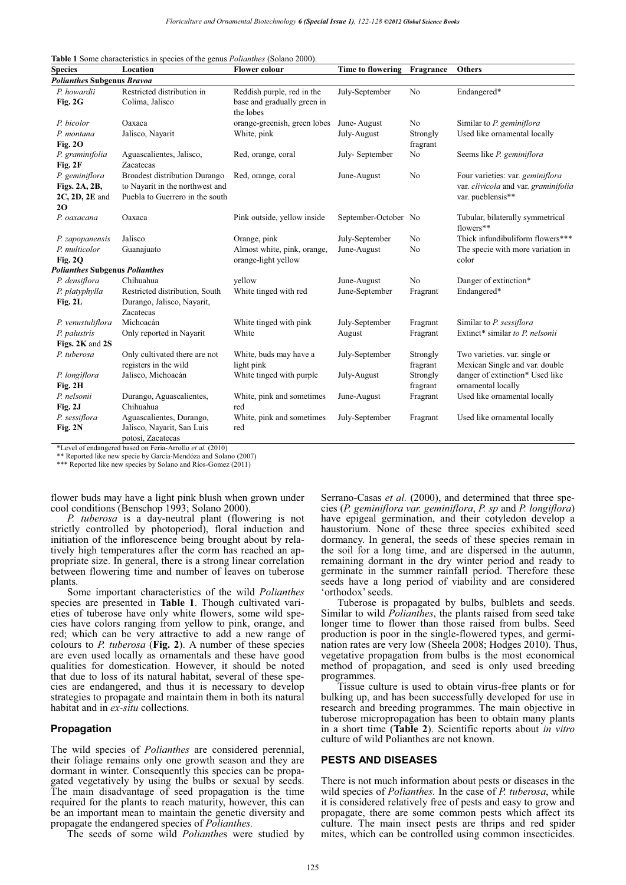**Table 1** Some characteristics in species of the genus *Polianthes* (Solano 2000).

| <b>Species</b>                                                  | Location                                                                                                   | <b>Flower colour</b>                                                   | <b>Time to flowering</b> | Fragrance            | <b>Others</b>                                                                                 |
|-----------------------------------------------------------------|------------------------------------------------------------------------------------------------------------|------------------------------------------------------------------------|--------------------------|----------------------|-----------------------------------------------------------------------------------------------|
| <b>Polianthes Subgenus Bravoa</b>                               |                                                                                                            |                                                                        |                          |                      |                                                                                               |
| P. howardii<br>Fig. 2G                                          | Restricted distribution in<br>Colima, Jalisco                                                              | Reddish purple, red in the<br>base and gradually green in<br>the lobes | July-September           | No                   | Endangered*                                                                                   |
| P. bicolor                                                      | Oaxaca                                                                                                     | orange-greenish, green lobes                                           | June-August              | No                   | Similar to P. geminiflora                                                                     |
| P. montana<br>Fig. $2O$                                         | Jalisco, Nayarit                                                                                           | White, pink                                                            | July-August              | Strongly<br>fragrant | Used like ornamental locally                                                                  |
| P. graminifolia<br>Fig. 2F                                      | Aguascalientes, Jalisco,<br>Zacatecas                                                                      | Red, orange, coral                                                     | July-September           | No                   | Seems like P. geminiflora                                                                     |
| P. geminiflora<br>Figs. 2A, 2B,<br>$2C$ , $2D$ , $2E$ and<br>20 | <b>Broadest distribution Durango</b><br>to Nayarit in the northwest and<br>Puebla to Guerrero in the south | Red, orange, coral                                                     | June-August              | No                   | Four varieties: var. geminiflora<br>var. clivicola and var. graminifolia<br>var. pueblensis** |
| P. oaxacana                                                     | Oaxaca                                                                                                     | Pink outside, yellow inside                                            | September-October No     |                      | Tubular, bilaterally symmetrical<br>flowers**                                                 |
| P. zapopanensis                                                 | Jalisco                                                                                                    | Orange, pink                                                           | July-September           | N <sub>0</sub>       | Thick infundibuliform flowers***                                                              |
| P. multicolor<br><b>Fig. 2Q</b>                                 | Guanajuato                                                                                                 | Almost white, pink, orange,<br>orange-light yellow                     | June-August              | No                   | The specie with more variation in<br>color                                                    |
| <b>Polianthes Subgenus Polianthes</b>                           |                                                                                                            |                                                                        |                          |                      |                                                                                               |
| P. densiflora                                                   | Chihuahua                                                                                                  | vellow                                                                 | June-August              | N <sub>o</sub>       | Danger of extinction*                                                                         |
| P. platyphylla<br>Fig. 2L                                       | Restricted distribution, South<br>Durango, Jalisco, Nayarit,<br>Zacatecas                                  | White tinged with red                                                  | June-September           | Fragrant             | Endangered*                                                                                   |
| P. venustuliflora                                               | Michoacán                                                                                                  | White tinged with pink                                                 | July-September           | Fragrant             | Similar to P. sessiflora                                                                      |
| P. palustris<br>Figs. 2K and 2S                                 | Only reported in Nayarit                                                                                   | White                                                                  | August                   | Fragrant             | Extinct* similar to P. nelsonii                                                               |
| P. tuberosa                                                     | Only cultivated there are not<br>registers in the wild                                                     | White, buds may have a<br>light pink                                   | July-September           | Strongly<br>fragrant | Two varieties, var. single or<br>Mexican Single and var. double                               |
| P. longiflora<br>Fig. 2H                                        | Jalisco, Michoacán                                                                                         | White tinged with purple                                               | July-August              | Strongly<br>fragrant | danger of extinction* Used like<br>ornamental locally                                         |
| P. nelsonii<br>Fig. 2J                                          | Durango, Aguascalientes,<br>Chihuahua                                                                      | White, pink and sometimes<br>red                                       | June-August              | Fragrant             | Used like ornamental locally                                                                  |
| P. sessiflora<br>Fig. 2N                                        | Aguascalientes, Durango,<br>Jalisco, Nayarit, San Luis<br>potosí, Zacatecas                                | White, pink and sometimes<br>red                                       | July-September           | Fragrant             | Used like ornamental locally                                                                  |

\*Level of endangered based on Feria-Arrollo *et al.* (2010)

\*\* Reported like new specie by García-Mendóza and Solano (2007)

\*\*\* Reported like new species by Solano and Ríos-Gomez (2011)

flower buds may have a light pink blush when grown under cool conditions (Benschop 1993; Solano 2000).

*P. tuberosa* is a day-neutral plant (flowering is not strictly controlled by photoperiod), floral induction and initiation of the inflorescence being brought about by relatively high temperatures after the corm has reached an appropriate size. In general, there is a strong linear correlation between flowering time and number of leaves on tuberose plants.

Some important characteristics of the wild *Polianthes* species are presented in **Table 1**. Though cultivated varieties of tuberose have only white flowers, some wild species have colors ranging from yellow to pink, orange, and red; which can be very attractive to add a new range of colours to *P. tuberosa* (**Fig. 2**). A number of these species are even used locally as ornamentals and these have good qualities for domestication. However, it should be noted that due to loss of its natural habitat, several of these species are endangered, and thus it is necessary to develop strategies to propagate and maintain them in both its natural habitat and in *ex-situ* collections.

#### **Propagation**

The wild species of *Polianthes* are considered perennial, their foliage remains only one growth season and they are dormant in winter. Consequently this species can be propagated vegetatively by using the bulbs or sexual by seeds. The main disadvantage of seed propagation is the time required for the plants to reach maturity, however, this can be an important mean to maintain the genetic diversity and propagate the endangered species of *Polianthes.*

The seeds of some wild *Polianthe*s were studied by

Serrano-Casas *et al.* (2000), and determined that three species (*P. geminiflora var. geminiflora*, *P. sp* and *P. longiflora*) have epigeal germination, and their cotyledon develop a haustorium. None of these three species exhibited seed dormancy. In general, the seeds of these species remain in the soil for a long time, and are dispersed in the autumn, remaining dormant in the dry winter period and ready to germinate in the summer rainfall period. Therefore these seeds have a long period of viability and are considered 'orthodox' seeds.

Tuberose is propagated by bulbs, bulblets and seeds. Similar to wild *Polianthes*, the plants raised from seed take longer time to flower than those raised from bulbs. Seed production is poor in the single-flowered types, and germination rates are very low (Sheela 2008; Hodges 2010). Thus, vegetative propagation from bulbs is the most economical method of propagation, and seed is only used breeding programmes.

Tissue culture is used to obtain virus-free plants or for bulking up, and has been successfully developed for use in research and breeding programmes. The main objective in tuberose micropropagation has been to obtain many plants in a short time (**Table 2**). Scientific reports about *in vitro* culture of wild Polianthes are not known.

#### **PESTS AND DISEASES**

There is not much information about pests or diseases in the wild species of *Polianthes.* In the case of *P. tuberosa*, while it is considered relatively free of pests and easy to grow and propagate, there are some common pests which affect its culture. The main insect pests are thrips and red spider mites, which can be controlled using common insecticides.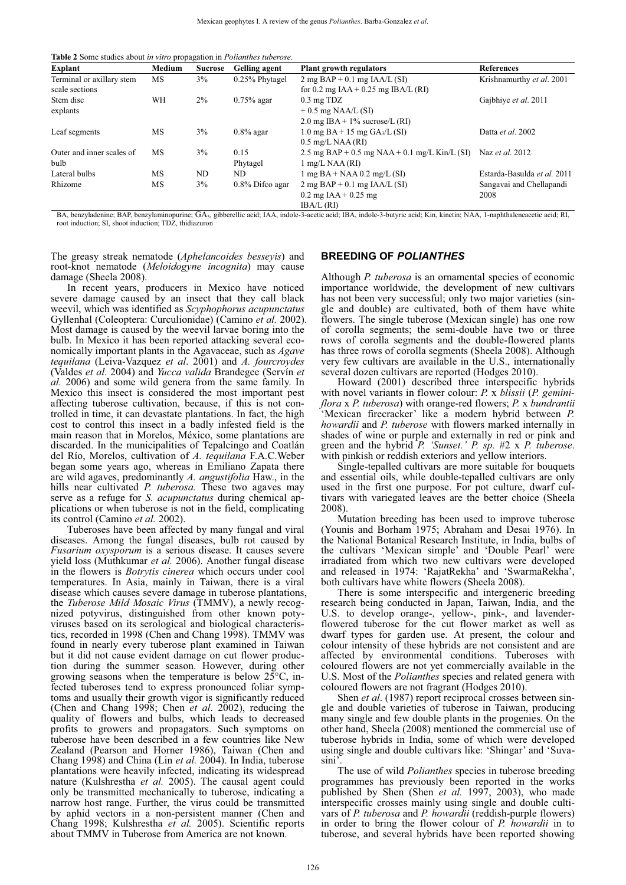**Table 2** Some studies about *in vitro* propagation in *Polianthes tuberose*.

| Explant                   | Medium | <b>Sucrose</b> | Gelling agent      | Plant growth regulators                              | <b>References</b>           |
|---------------------------|--------|----------------|--------------------|------------------------------------------------------|-----------------------------|
| Terminal or axillary stem | МS     | 3%             | 0.25% Phytagel     | $2 \text{ mg } BAP + 0.1 \text{ mg } IAA/L(SI)$      | Krishnamurthy et al. 2001   |
| scale sections            |        |                |                    | for 0.2 mg IAA + 0.25 mg IBA/L (RI)                  |                             |
| Stem disc                 | WН     | $2\%$          | $0.75\%$ agar      | $0.3 \text{ mg} \text{ T}$ DZ                        | Gajbhiye et al. 2011        |
| explants                  |        |                |                    | $+0.5$ mg NAA/L (SI)                                 |                             |
|                           |        |                |                    | 2.0 mg IBA + $1\%$ sucrose/L (RI)                    |                             |
| Leaf segments             | МS     | 3%             | $0.8\%$ agar       | 1.0 mg $BA + 15$ mg $GA_3/L(SI)$                     | Datta et al. 2002           |
|                           |        |                |                    | $0.5 \text{ mg/L NAA (RI)}$                          |                             |
| Outer and inner scales of | МS     | 3%             | 0.15               | 2.5 mg BAP + 0.5 mg NAA + 0.1 mg/L Kin/L (SI)        | Naz et al. 2012             |
| bulb                      |        |                | Phytagel           | 1 mg/L NAA (RI)                                      |                             |
| Lateral bulbs             | МS     | ND             | ND                 | $1 \text{ mg BA} + \text{NAA} 0.2 \text{ mg/L (SI)}$ | Estarda-Basulda et al. 2011 |
| Rhizome                   | МS     | $3\%$          | $0.8\%$ Difco agar | $2 \text{ mg } BAP + 0.1 \text{ mg } IAA/L (SI)$     | Sangavai and Chellapandi    |
|                           |        |                |                    | $0.2 \text{ mg IAA} + 0.25 \text{ mg}$               | 2008                        |
|                           |        |                |                    | IBA/L (RD)                                           |                             |

BA, benzyladenine; BAP, benzylaminopurine; GA3, gibberellic acid; IAA, indole-3-acetic acid; IBA, indole-3-butyric acid; Kin, kinetin; NAA, 1-naphthaleneacetic acid; RI, root induction; SI, shoot induction; TDZ, thidiazuron

The greasy streak nematode (*Aphelancoides besseyis*) and root-knot nematode (*Meloidogyne incognita*) may cause damage (Sheela 2008).

In recent years, producers in Mexico have noticed severe damage caused by an insect that they call black weevil, which was identified as *Scyphophorus acupunctatus*  Gyllenhal (Coleoptera: Curculionidae) (Camino *et al.* 2002). Most damage is caused by the weevil larvae boring into the bulb. In Mexico it has been reported attacking several economically important plants in the Agavaceae, such as *Agave tequilana* (Leiva-Vazquez *et al*. 2001) and *A. fourcroydes* (Valdes *et al*. 2004) and *Yucca valida* Brandegee (Servín *et al.* 2006) and some wild genera from the same family. In Mexico this insect is considered the most important pest affecting tuberose cultivation, because, if this is not controlled in time, it can devastate plantations. In fact, the high cost to control this insect in a badly infested field is the main reason that in Morelos, México, some plantations are discarded. In the municipalities of Tepalcingo and Coatlán del Río, Morelos, cultivation of *A. tequilana* F.A.C.Weber began some years ago, whereas in Emiliano Zapata there are wild agaves, predominantly *A. angustifolia* Haw., in the hills near cultivated *P. tuberosa*. These two agaves may serve as a refuge for *S. acupunctatus* during chemical applications or when tuberose is not in the field, complicating its control (Camino *et al.* 2002).

Tuberoses have been affected by many fungal and viral diseases. Among the fungal diseases, bulb rot caused by *Fusarium oxysporum* is a serious disease. It causes severe yield loss (Muthkumar *et al.* 2006). Another fungal disease in the flowers is *Botrytis cinerea* which occurs under cool temperatures. In Asia, mainly in Taiwan, there is a viral disease which causes severe damage in tuberose plantations, the *Tuberose Mild Mosaic Virus* (TMMV), a newly recognized potyvirus, distinguished from other known potyviruses based on its serological and biological characteristics, recorded in 1998 (Chen and Chang 1998). TMMV was found in nearly every tuberose plant examined in Taiwan but it did not cause evident damage on cut flower production during the summer season. However, during other growing seasons when the temperature is below  $25^{\circ}$ C, infected tuberoses tend to express pronounced foliar symptoms and usually their growth vigor is significantly reduced (Chen and Chang 1998; Chen *et al*. 2002), reducing the quality of flowers and bulbs, which leads to decreased profits to growers and propagators. Such symptoms on tuberose have been described in a few countries like New Zealand (Pearson and Horner 1986), Taiwan (Chen and Chang 1998) and China (Lin *et al.* 2004). In India, tuberose plantations were heavily infected, indicating its widespread nature (Kulshrestha *et al.* 2005). The causal agent could only be transmitted mechanically to tuberose, indicating a narrow host range. Further, the virus could be transmitted by aphid vectors in a non-persistent manner (Chen and Chang 1998; Kulshrestha *et al.* 2005). Scientific reports about TMMV in Tuberose from America are not known.

#### **BREEDING OF** *POLIANTHES*

Although *P. tuberosa* is an ornamental species of economic importance worldwide, the development of new cultivars has not been very successful; only two major varieties (single and double) are cultivated, both of them have white flowers. The single tuberose (Mexican single) has one row of corolla segments; the semi-double have two or three rows of corolla segments and the double-flowered plants has three rows of corolla segments (Sheela 2008). Although very few cultivars are available in the U.S., internationally several dozen cultivars are reported (Hodges 2010).

Howard (2001) described three interspecific hybrids with novel variants in flower colour: *P.* x *blissii* (*P. geminiflora* x *P. tuberosa*) with orange-red flowers; *P.* x *bundrantii* 'Mexican firecracker' like a modern hybrid between *P. howardii* and *P. tuberose* with flowers marked internally in shades of wine or purple and externally in red or pink and green and the hybrid *P. 'Sunset.' P. sp.* #2 x *P. tuberose*. with pinkish or reddish exteriors and yellow interiors.

Single-tepalled cultivars are more suitable for bouquets and essential oils, while double-tepalled cultivars are only used in the first one purpose. For pot culture, dwarf cultivars with variegated leaves are the better choice (Sheela 2008).

Mutation breeding has been used to improve tuberose (Younis and Borham 1975; Abraham and Desai 1976). In the National Botanical Research Institute, in India, bulbs of the cultivars 'Mexican simple' and 'Double Pearl' were irradiated from which two new cultivars were developed and released in 1974: 'RajatRekha' and 'SwarmaRekha', both cultivars have white flowers (Sheela 2008).

There is some interspecific and intergeneric breeding research being conducted in Japan, Taiwan, India, and the U.S. to develop orange-, yellow-, pink-, and lavenderflowered tuberose for the cut flower market as well as dwarf types for garden use. At present, the colour and colour intensity of these hybrids are not consistent and are affected by environmental conditions. Tuberoses with coloured flowers are not yet commercially available in the U.S. Most of the *Polianthes* species and related genera with coloured flowers are not fragrant (Hodges 2010).

Shen *et al*. (1987) report reciprocal crosses between single and double varieties of tuberose in Taiwan, producing many single and few double plants in the progenies. On the other hand, Sheela (2008) mentioned the commercial use of tuberose hybrids in India, some of which were developed using single and double cultivars like: 'Shingar' and 'Suvasini'.

The use of wild *Polianthes* species in tuberose breeding programmes has previously been reported in the works published by Shen (Shen *et al.* 1997, 2003), who made interspecific crosses mainly using single and double cultivars of *P. tuberosa* and *P. howardii* (reddish-purple flowers) in order to bring the flower colour of *P. howardii* in to tuberose, and several hybrids have been reported showing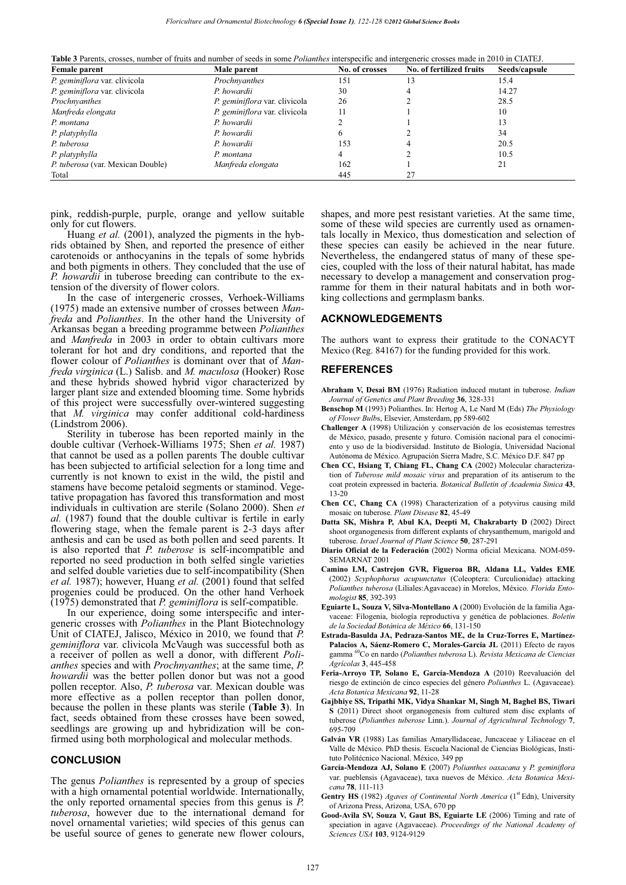**Table 3** Parents, crosses, number of fruits and number of seeds in some *Polianthes* interspecific and intergeneric crosses made in 2010 in CIATEJ.

| Female parent                     | Male parent                   | No. of crosses | No. of fertilized fruits | Seeds/capsule |
|-----------------------------------|-------------------------------|----------------|--------------------------|---------------|
| P. geminiflora var. clivicola     | Prochnyanthes                 | 151            | 13                       | 15.4          |
| P. geminiflora var. clivicola     | P. howardii                   | 30             |                          | 14.27         |
| Prochnyanthes                     | P. geminiflora var. clivicola | 26             |                          | 28.5          |
| Manfreda elongata                 | P. geminiflora var. clivicola | 11             |                          | 10            |
| P. montana                        | P. howardii                   |                |                          | 13            |
| P. platyphylla                    | P. howardii                   |                |                          | 34            |
| P. tuberosa                       | P. howardii                   | 153            |                          | 20.5          |
| P. platyphylla                    | P. montana                    |                |                          | 10.5          |
| P. tuberosa (var. Mexican Double) | Manfreda elongata             | 162            |                          | 21            |
| Total                             |                               | 445            | 27                       |               |

pink, reddish-purple, purple, orange and yellow suitable only for cut flowers.

Huang *et al.* (2001), analyzed the pigments in the hybrids obtained by Shen, and reported the presence of either carotenoids or anthocyanins in the tepals of some hybrids and both pigments in others. They concluded that the use of *P. howardii* in tuberose breeding can contribute to the extension of the diversity of flower colors.

In the case of intergeneric crosses, Verhoek-Williams (1975) made an extensive number of crosses between *Manfreda* and *Polianthes*. In the other hand the University of Arkansas began a breeding programme between *Polianthes* and *Manfreda* in 2003 in order to obtain cultivars more tolerant for hot and dry conditions, and reported that the flower colour of *Polianthes* is dominant over that of *Manfreda virginica* (L.) Salisb. and *M. maculosa* (Hooker) Rose and these hybrids showed hybrid vigor characterized by larger plant size and extended blooming time. Some hybrids of this project were successfully over-wintered suggesting that *M. virginica* may confer additional cold-hardiness (Lindstrom 2006).

Sterility in tuberose has been reported mainly in the double cultivar (Verhoek-Williams 1975; Shen *et al.* 1987) that cannot be used as a pollen parents The double cultivar has been subjected to artificial selection for a long time and currently is not known to exist in the wild, the pistil and stamens have become petaloid segments or staminod. Vegetative propagation has favored this transformation and most individuals in cultivation are sterile (Solano 2000). Shen *et al.* (1987) found that the double cultivar is fertile in early flowering stage, when the female parent is 2-3 days after anthesis and can be used as both pollen and seed parents. It is also reported that *P. tuberose* is self-incompatible and reported no seed production in both selfed single varieties and selfed double varieties due to self-incompatibility (Shen *et al.* 1987); however, Huang *et al.* (2001) found that selfed progenies could be produced. On the other hand Verhoek (1975) demonstrated that *P. geminiflora* is self-compatible.

In our experience, doing some interspecific and intergeneric crosses with *Polianthes* in the Plant Biotechnology Unit of CIATEJ, Jalisco, México in 2010, we found that *P. geminiflora* var. clivicola McVaugh was successful both as a receiver of pollen as well a donor, with different *Polianthes* species and with *Prochnyanthes*; at the same time, *P. howardii* was the better pollen donor but was not a good pollen receptor. Also, *P. tuberosa* var. Mexican double was more effective as a pollen receptor than pollen donor, because the pollen in these plants was sterile (**Table 3**). In fact, seeds obtained from these crosses have been sowed, seedlings are growing up and hybridization will be confirmed using both morphological and molecular methods.

#### **CONCLUSION**

The genus *Polianthes* is represented by a group of species with a high ornamental potential worldwide. Internationally, the only reported ornamental species from this genus is *P. tuberosa*, however due to the international demand for novel ornamental varieties; wild species of this genus can be useful source of genes to generate new flower colours,

shapes, and more pest resistant varieties. At the same time, some of these wild species are currently used as ornamentals locally in Mexico, thus domestication and selection of these species can easily be achieved in the near future. Nevertheless, the endangered status of many of these species, coupled with the loss of their natural habitat, has made necessary to develop a management and conservation programme for them in their natural habitats and in both working collections and germplasm banks.

#### **ACKNOWLEDGEMENTS**

The authors want to express their gratitude to the CONACYT Mexico (Reg. 84167) for the funding provided for this work.

#### **REFERENCES**

- **Abraham V, Desai BM** (1976) Radiation induced mutant in tuberose. *Indian Journal of Genetics and Plant Breeding* **36**, 328-331
- **Benschop M** (1993) Polianthes. In: Hertog A, Le Nard M (Eds) *The Physiology of Flower Bulb*s, Elsevier, Amsterdam, pp 589-602
- **Challenger A** (1998) Utilización y conservación de los ecosistemas terrestres de México, pasado, presente y futuro. Comisión nacional para el conocimiento y uso de la biodiversidad. Instituto de Biología, Universidad Nacional Autónoma de México. Agrupación Sierra Madre, S.C. México D.F. 847 pp
- **Chen CC, Hsiang T, Chiang FL, Chang CA** (2002) Molecular characterization of *Tuberose mild mosaic virus* and preparation of its antiserum to the coat protein expressed in bacteria. *Botanical Bulletin of Academia Sinica* **43**, 13-20
- **Chen CC, Chang CA** (1998) Characterization of a potyvirus causing mild mosaic on tuberose. *Plant Disease* **82**, 45-49
- **Datta SK, Mishra P, Abul KA, Deepti M, Chakrabarty D** (2002) Direct shoot organogenesis from different explants of chrysanthemum, marigold and tuberose. *Israel Journal of Plant Science* **50**, 287-291
- **Diario Oficial de la Federación** (2002) Norma oficial Mexicana. NOM-059- SEMARNAT 2001
- **Camino LM, Castrejon GVR, Figueroa BR, Aldana LL, Valdes EME**  (2002) *Scyphophorus acupunctatus* (Coleoptera: Curculionidae) attacking *Polianthes tuberosa* (Liliales:Agavaceae) in Morelos, México. *Florida Entomologist* **85**, 392-393
- **Eguiarte L, Souza V, Silva-Montellano A** (2000) Evolución de la familia Agavaceae: Filogenia, biología reproductiva y genética de poblaciones. *Boletín de la Sociedad Botánica de México* **66**, 131-150
- **Estrada-Basulda JA, Pedraza-Santos ME, de la Cruz-Torres E, Martínez-Palacios A, Sáenz-Romero C, Morales-García JL** (2011) Efecto de rayos gamma 60Co en nardo (*Polianthes tuberosa* L). *Revista Mexicana de Ciencias Agrícolas* **3**, 445-458
- **Feria-Arroyo TP, Solano E, García-Mendoza A** (2010) Reevaluación del riesgo de extinción de cinco especies del género *Polianthes* L. (Agavaceae). *Acta Botanica Mexicana* **92**, 11-28
- **Gajbhiye SS, Tripathi MK, Vidya Shankar M, Singh M, Baghel BS, Tiwari S** (2011) Direct shoot organogenesis from cultured stem disc explants of tuberose (*Polianthes tuberose* Linn.). *Journal of Agricultural Technology* **7**, 695-709
- **Galván VR** (1988) Las familias Amaryllidaceae, Juncaceae y Liliaceae en el Valle de México. PhD thesis. Escuela Nacional de Ciencias Biológicas, Instituto Politécnico Nacional. México, 349 pp
- **García-Mendoza AJ, Solano E** (2007) *Polianthes oaxacana* y *P. geminiflora* var. pueblensis (Agavaceae), taxa nuevos de México. *Acta Botanica Mexicana* **78**, 111-113
- **Gentry HS** (1982) *Agaves of Continental North America* (1<sup>st</sup> Edn), University of Arizona Press, Arizona, USA, 670 pp
- **Good-Avila SV, Souza V, Gaut BS, Eguiarte LE** (2006) Timing and rate of speciation in agave (Agavaceae). *Proceedings of the National Academy of Sciences USA* **103**, 9124-9129